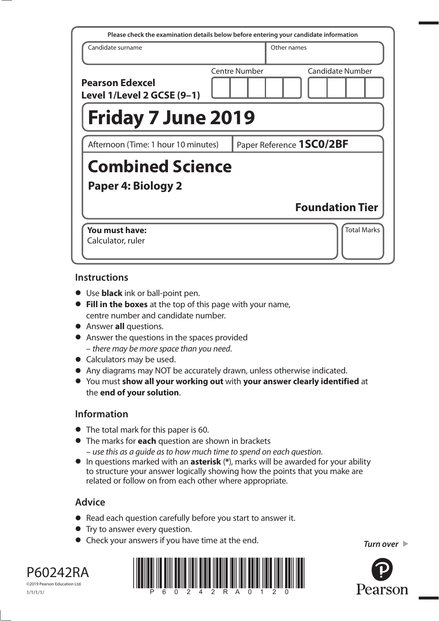| Please check the examination details below before entering your candidate information |                      |             |                          |
|---------------------------------------------------------------------------------------|----------------------|-------------|--------------------------|
| Candidate surname                                                                     |                      | Other names |                          |
| <b>Pearson Edexcel</b><br>Level 1/Level 2 GCSE (9-1)                                  | <b>Centre Number</b> |             | <b>Candidate Number</b>  |
| <b>Friday 7 June 2019</b>                                                             |                      |             |                          |
| Afternoon (Time: 1 hour 10 minutes)                                                   |                      |             | Paper Reference 1SC0/2BF |
| <b>Combined Science</b>                                                               |                      |             |                          |
| Paper 4: Biology 2                                                                    |                      |             |                          |
|                                                                                       |                      |             | <b>Foundation Tier</b>   |
| You must have:<br>Calculator, ruler                                                   |                      |             | <b>Total Marks</b>       |

### **Instructions**

- Use **black** ink or ball-point pen.
- **Fill in the boxes** at the top of this page with your name, centre number and candidate number.
- Answer **all** questions.
- Answer the questions in the spaces provided – there may be more space than you need.
- Calculators may be used.
- Any diagrams may NOT be accurately drawn, unless otherwise indicated.
- You must **show all your working out** with **your answer clearly identified** at the **end of your solution**.

## **Information**

- The total mark for this paper is 60.
- The marks for **each** question are shown in brackets – use this as a guide as to how much time to spend on each question.
- In questions marked with an **asterisk** (**\***), marks will be awarded for your ability to structure your answer logically showing how the points that you make are related or follow on from each other where appropriate.

# **Advice**

- Read each question carefully before you start to answer it.
- Try to answer every question.
- Check your answers if you have time at the end.

*Turn over* 



©2019 Pearson Education Ltd. 1/1/1/1/

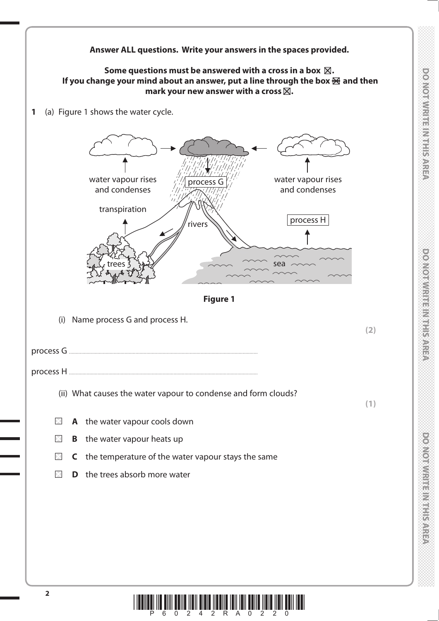

**THIS AREA DO NOT WRITE IN THIS AREA DO NOT WRITE IN THIS AREA DO NOT WRITE IN THIS AREA DO NOT WRITE IN THIS AREA DO NOT WRITE IN THIS AREA DO NOT WRITE IN THE INTERNATIONAL CONTINUES.** 

**DOMORWISHER WIFERSTARE** 

**DONOINMENT HAT IS AREA** 

**DO NOTWRITE IN THE SARE** 

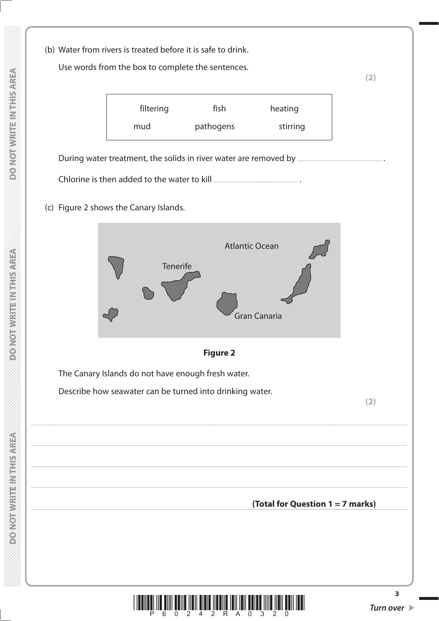(b) Water from rivers is treated before it is safe to drink. Use words from the box to complete the sentences.  $(2)$ filtering fish heating mud pathogens stirring During water treatment, the solids in river water are removed by ..... (c) Figure 2 shows the Canary Islands.





The Canary Islands do not have enough fresh water.

Describe how seawater can be turned into drinking water.

(Total for Question 1 = 7 marks)



 $\overline{\mathbf{3}}$ 

 $(2)$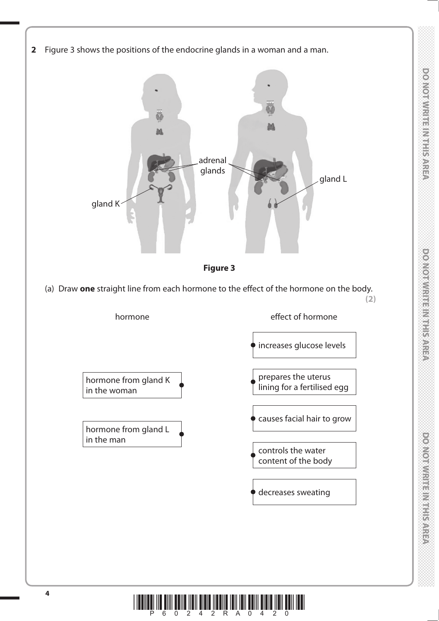

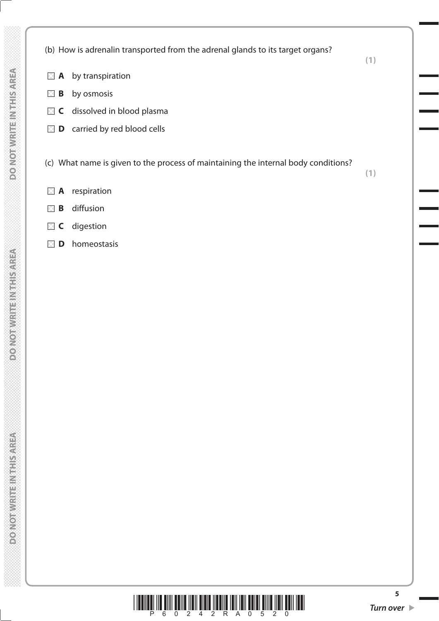(b) How is adrenalin transported from the adrenal glands to its target organs?

- **A** by transpiration
- **B** by osmosis
- **C** dissolved in blood plasma
- **D** carried by red blood cells

(c) What name is given to the process of maintaining the internal body conditions?

**(1)**

**(1)**

- **A** respiration
- **B** diffusion
- **C** digestion
- **D** homeostasis



**5**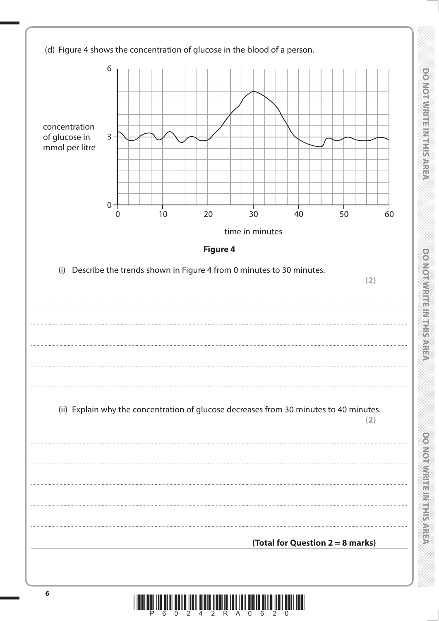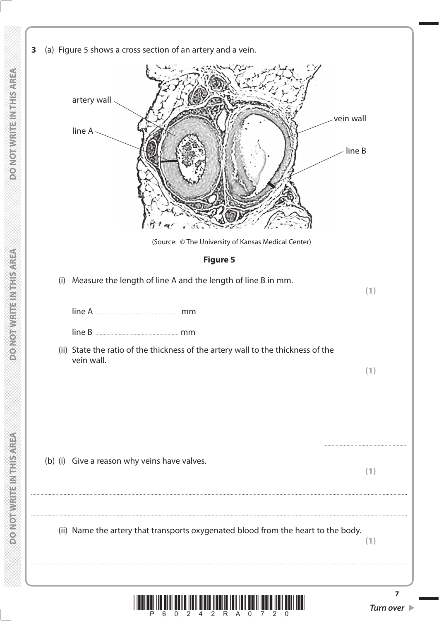(a) Figure 5 shows a cross section of an artery and a vein.  $\overline{\mathbf{3}}$ 





 $\overline{z}$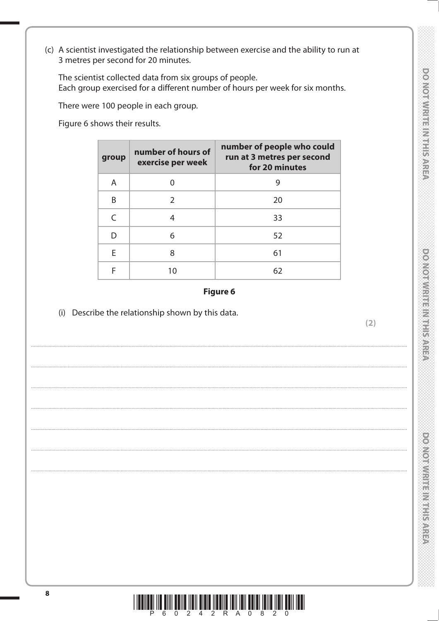DO NOT WRITE IN THIS AREA

**DOOMORAL HEADERS AND STREET** 

(c) A scientist investigated the relationship between exercise and the ability to run at 3 metres per second for 20 minutes.

The scientist collected data from six groups of people. Each group exercised for a different number of hours per week for six months.

There were 100 people in each group.

Figure 6 shows their results.

| group     | number of hours of<br>exercise per week | number of people who could<br>run at 3 metres per second<br>for 20 minutes |
|-----------|-----------------------------------------|----------------------------------------------------------------------------|
| A         |                                         | 9                                                                          |
| R         | $\mathcal{L}$                           | 20                                                                         |
| $\subset$ | 4                                       | 33                                                                         |
|           | 6                                       | 52                                                                         |
| F         | ጸ                                       | 61                                                                         |
| F         |                                         | 62                                                                         |

#### Figure 6

(i) Describe the relationship shown by this data.

 $(2)$ 

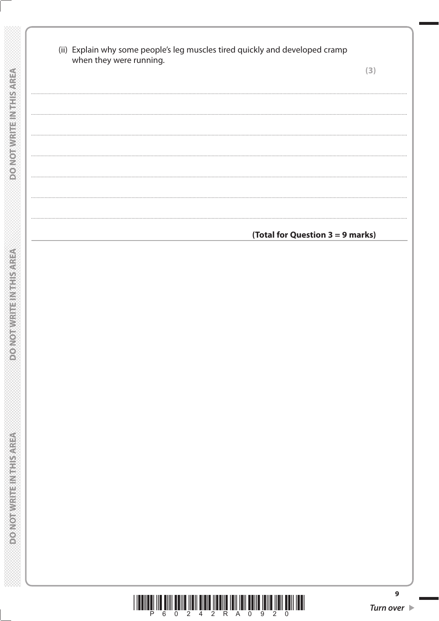|                                 | (ii) Explain why some people's leg muscles tired quickly and developed cramp<br>when they were running. |     |
|---------------------------------|---------------------------------------------------------------------------------------------------------|-----|
|                                 |                                                                                                         | (3) |
|                                 |                                                                                                         |     |
|                                 |                                                                                                         |     |
|                                 |                                                                                                         |     |
| <b>DONOT WRITE IN THIS AREA</b> |                                                                                                         |     |
|                                 |                                                                                                         |     |
|                                 |                                                                                                         |     |
|                                 | (Total for Question 3 = 9 marks)                                                                        |     |
|                                 |                                                                                                         |     |
|                                 |                                                                                                         |     |
|                                 |                                                                                                         |     |
| <b>DOINOTAWREE INTERNATER</b>   |                                                                                                         |     |
|                                 |                                                                                                         |     |
|                                 |                                                                                                         |     |
|                                 |                                                                                                         |     |
|                                 |                                                                                                         |     |
|                                 |                                                                                                         |     |
|                                 |                                                                                                         |     |
|                                 |                                                                                                         |     |
| <b>VERVERING IN THE WEEKS</b>   |                                                                                                         |     |
|                                 |                                                                                                         |     |
|                                 |                                                                                                         |     |
|                                 |                                                                                                         |     |
|                                 |                                                                                                         |     |

Turn over  $\blacktriangleright$ 

 $\overline{9}$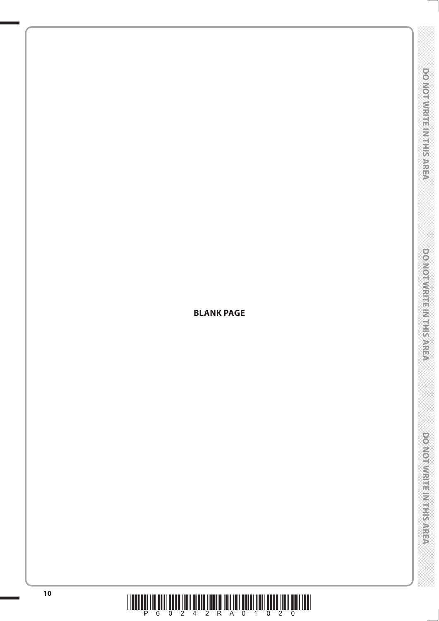**BLANK PAGE**

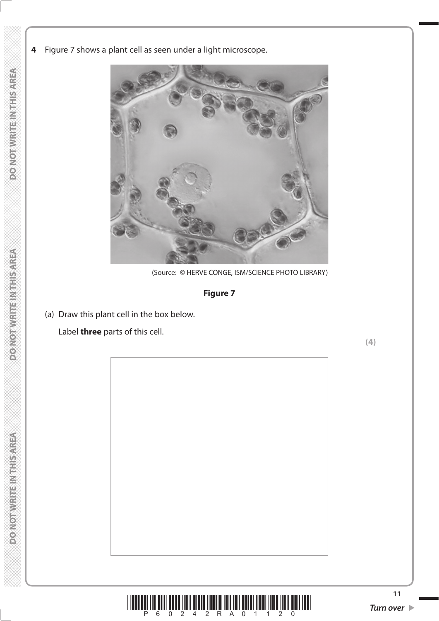**4** Figure 7 shows a plant cell as seen under a light microscope.



(Source: © HERVE CONGE, ISM/SCIENCE PHOTO LIBRARY)

### **Figure 7**

(a) Draw this plant cell in the box below.

Label **three** parts of this cell.

**(4)**



**DONOTWRITE IN THIS AREA**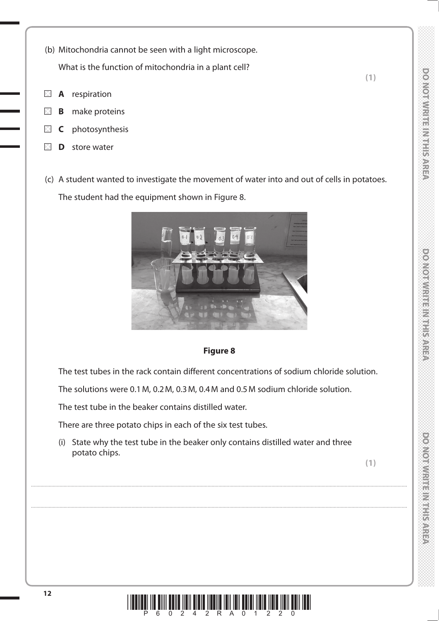**(1)**

**PONONNE HARRY STREET** 

**<sup>12</sup>** \*P60242RA01220\*



The test tubes in the rack contain different concentrations of sodium chloride solution.

The solutions were 0.1 M, 0.2 M, 0.3 M, 0.4 M and 0.5 M sodium chloride solution.

The test tube in the beaker contains distilled water.

There are three potato chips in each of the six test tubes.

 (i) State why the test tube in the beaker only contains distilled water and three potato chips.

.....................................................................................................................................................................................................................................................................................

.....................................................................................................................................................................................................................................................................................





- **B** make proteins
- **C** photosynthesis
- **D** store water
- (c) A student wanted to investigate the movement of water into and out of cells in potatoes. The student had the equipment shown in Figure 8.

What is the function of mitochondria in a plant cell?

(b) Mitochondria cannot be seen with a light microscope.

**A** respiration

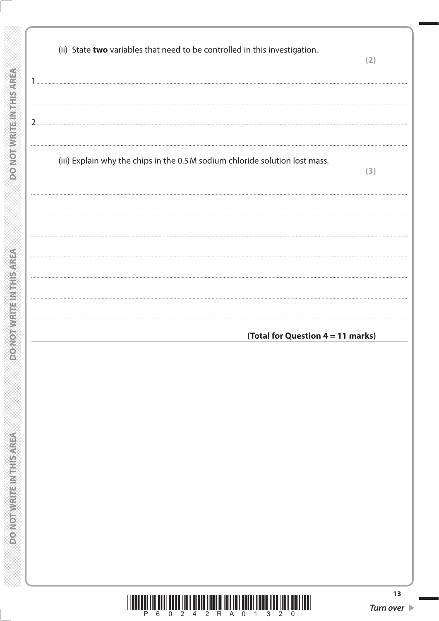| (ii) State two variables that need to be controlled in this investigation.   | (2) |
|------------------------------------------------------------------------------|-----|
|                                                                              |     |
|                                                                              |     |
|                                                                              |     |
|                                                                              |     |
| (iii) Explain why the chips in the 0.5 M sodium chloride solution lost mass. | (3) |
|                                                                              |     |
|                                                                              |     |
|                                                                              |     |
|                                                                              |     |
|                                                                              |     |
|                                                                              |     |
| (Total for Question 4 = 11 marks)                                            |     |
|                                                                              |     |
|                                                                              |     |
|                                                                              |     |
|                                                                              |     |
|                                                                              |     |
|                                                                              |     |
|                                                                              |     |
|                                                                              |     |
|                                                                              |     |
|                                                                              |     |
|                                                                              |     |
|                                                                              |     |

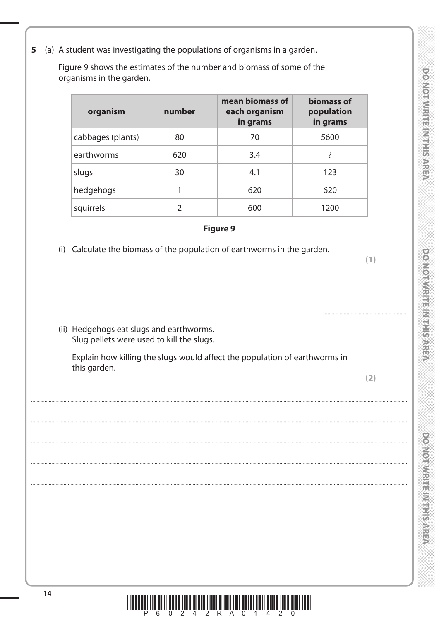(a) A student was investigating the populations of organisms in a garden.  $5\overline{)}$ 

Figure 9 shows the estimates of the number and biomass of some of the organisms in the garden.

| organism          | number | mean biomass of<br>each organism<br>in grams | biomass of<br>population<br>in grams |
|-------------------|--------|----------------------------------------------|--------------------------------------|
| cabbages (plants) | 80     | 70                                           | 5600                                 |
| earthworms        | 620    | 3.4                                          |                                      |
| slugs             | 30     | 4.1                                          | 123                                  |
| hedgehogs         |        | 620                                          | 620                                  |
| squirrels         |        | 600                                          | 1200                                 |

#### **Figure 9**

(i) Calculate the biomass of the population of earthworms in the garden.

 $(1)$ 

(ii) Hedgehogs eat slugs and earthworms. Slug pellets were used to kill the slugs.

Explain how killing the slugs would affect the population of earthworms in this garden.

DO NOT WRITE IN THIS AREA

**DOOMORATION STATES AND STATES** 

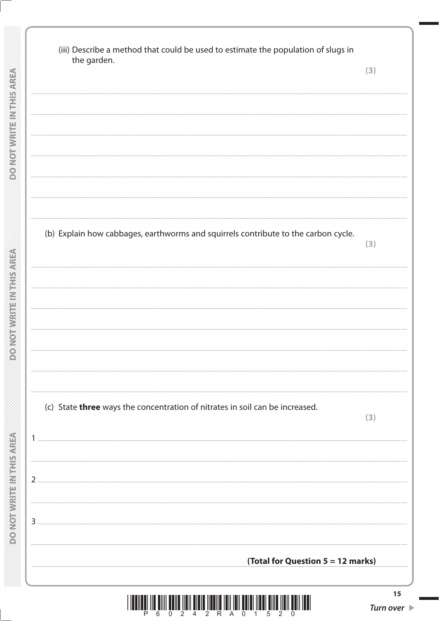| (iii) Describe a method that could be used to estimate the population of slugs in<br>the garden. | (3) |
|--------------------------------------------------------------------------------------------------|-----|
|                                                                                                  |     |
|                                                                                                  |     |
|                                                                                                  |     |
|                                                                                                  |     |
|                                                                                                  |     |
|                                                                                                  |     |
|                                                                                                  |     |
|                                                                                                  |     |
|                                                                                                  |     |
| (b) Explain how cabbages, earthworms and squirrels contribute to the carbon cycle.               | (3) |
|                                                                                                  |     |
|                                                                                                  |     |
|                                                                                                  |     |
|                                                                                                  |     |
|                                                                                                  |     |
|                                                                                                  |     |
|                                                                                                  |     |
|                                                                                                  |     |
|                                                                                                  |     |
| (c) State three ways the concentration of nitrates in soil can be increased.                     | (3) |
| 1                                                                                                |     |
|                                                                                                  |     |
|                                                                                                  |     |
| 2                                                                                                |     |
|                                                                                                  |     |
| 3                                                                                                |     |
|                                                                                                  |     |
| (Total for Question 5 = 12 marks)                                                                |     |
|                                                                                                  |     |

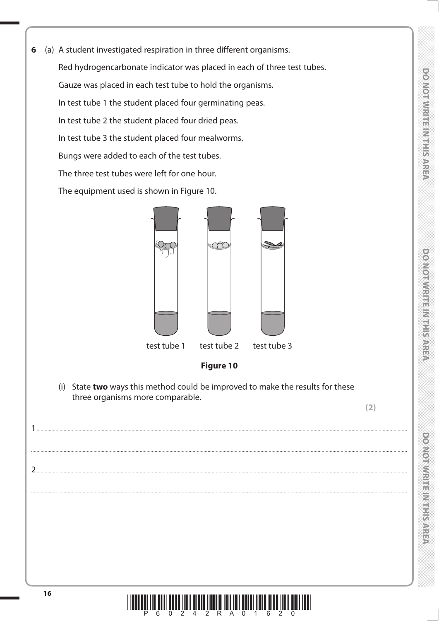**THIS AREA DO NOT WRITE IN THIS AREA DO NOT WRITE IN THIS AREA DO NOT WRITE IN THIS AREA DO NOT WRITE IN THIS AREA DO NOT WRITE IN THIS AREA DO NOT WRITE IN THE INTERNATIONAL CONTINUES. DOOMORAL HEARTH STATE** 

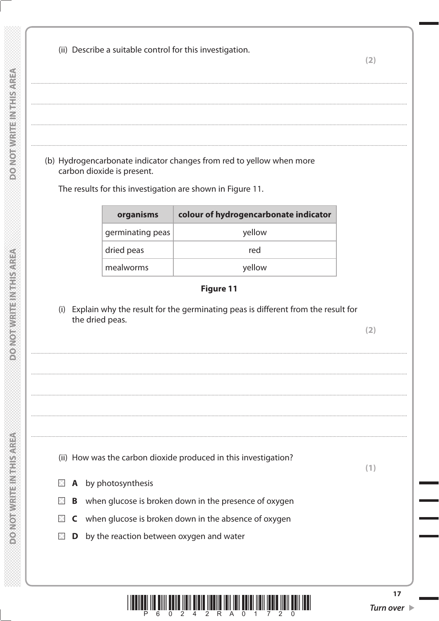|     |   | carbon dioxide is present. | (b) Hydrogencarbonate indicator changes from red to yellow when more<br>The results for this investigation are shown in Figure 11.       |
|-----|---|----------------------------|------------------------------------------------------------------------------------------------------------------------------------------|
|     |   | organisms                  | colour of hydrogencarbonate indicator                                                                                                    |
|     |   | germinating peas           | yellow                                                                                                                                   |
|     |   | dried peas                 | red                                                                                                                                      |
|     |   | mealworms                  | yellow                                                                                                                                   |
| (i) |   | the dried peas.            | <b>Figure 11</b>                                                                                                                         |
|     |   |                            |                                                                                                                                          |
|     |   |                            | (ii) How was the carbon dioxide produced in this investigation?                                                                          |
|     | A | by photosynthesis          |                                                                                                                                          |
|     | B |                            | when glucose is broken down in the presence of oxygen                                                                                    |
|     | C |                            | Explain why the result for the germinating peas is different from the result for<br>when glucose is broken down in the absence of oxygen |

(ii) Describe a suitable control for this investigation.



 $(2)$ 

 $(2)$ 

 $(1)$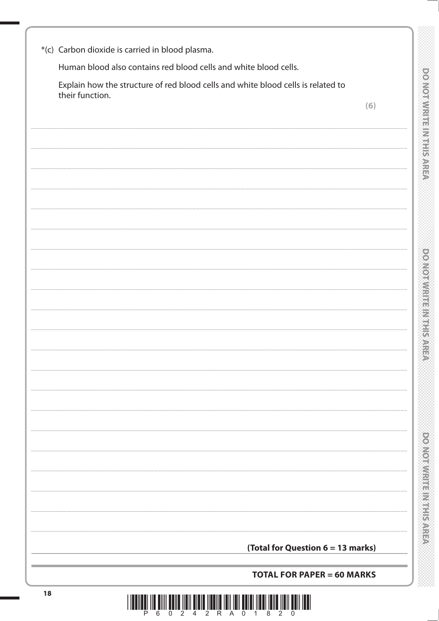| *(c) Carbon dioxide is carried in blood plasma.<br>Human blood also contains red blood cells and white blood cells. |                                   |  |
|---------------------------------------------------------------------------------------------------------------------|-----------------------------------|--|
| Explain how the structure of red blood cells and white blood cells is related to<br>their function.                 |                                   |  |
|                                                                                                                     | (6)                               |  |
|                                                                                                                     |                                   |  |
|                                                                                                                     |                                   |  |
|                                                                                                                     |                                   |  |
|                                                                                                                     |                                   |  |
|                                                                                                                     |                                   |  |
|                                                                                                                     |                                   |  |
|                                                                                                                     |                                   |  |
|                                                                                                                     |                                   |  |
|                                                                                                                     |                                   |  |
|                                                                                                                     |                                   |  |
|                                                                                                                     |                                   |  |
|                                                                                                                     |                                   |  |
|                                                                                                                     |                                   |  |
|                                                                                                                     |                                   |  |
|                                                                                                                     |                                   |  |
|                                                                                                                     |                                   |  |
|                                                                                                                     |                                   |  |
|                                                                                                                     |                                   |  |
|                                                                                                                     |                                   |  |
|                                                                                                                     |                                   |  |
|                                                                                                                     |                                   |  |
|                                                                                                                     |                                   |  |
|                                                                                                                     | (Total for Question 6 = 13 marks) |  |
|                                                                                                                     | <b>TOTAL FOR PAPER = 60 MARKS</b> |  |

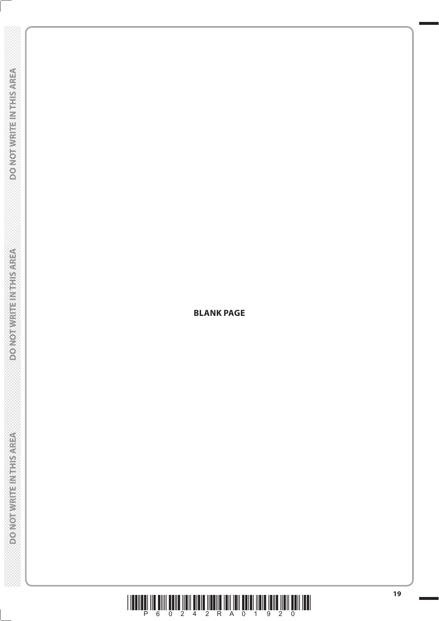**BLANK PAGE**